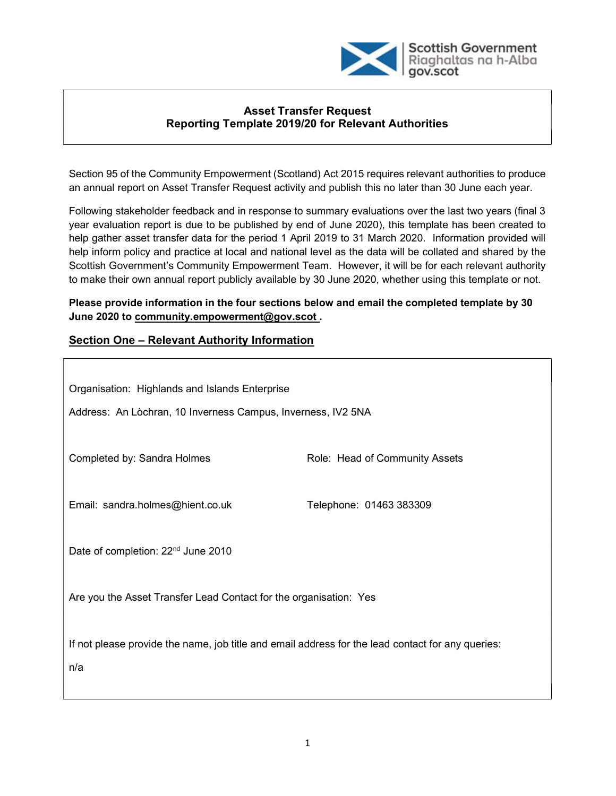

### Asset Transfer Request Reporting Template 2019/20 for Relevant Authorities

Section 95 of the Community Empowerment (Scotland) Act 2015 requires relevant authorities to produce an annual report on Asset Transfer Request activity and publish this no later than 30 June each year.

Following stakeholder feedback and in response to summary evaluations over the last two years (final 3 year evaluation report is due to be published by end of June 2020), this template has been created to help gather asset transfer data for the period 1 April 2019 to 31 March 2020. Information provided will help inform policy and practice at local and national level as the data will be collated and shared by the Scottish Government's Community Empowerment Team. However, it will be for each relevant authority to make their own annual report publicly available by 30 June 2020, whether using this template or not.

Please provide information in the four sections below and email the completed template by 30 June 2020 to community.empowerment@gov.scot .

### Section One – Relevant Authority Information

| Organisation: Highlands and Islands Enterprise<br>Address: An Lòchran, 10 Inverness Campus, Inverness, IV2 5NA |                                |  |  |
|----------------------------------------------------------------------------------------------------------------|--------------------------------|--|--|
| Completed by: Sandra Holmes                                                                                    | Role: Head of Community Assets |  |  |
| Email: sandra.holmes@hient.co.uk                                                                               | Telephone: 01463 383309        |  |  |
| Date of completion: 22 <sup>nd</sup> June 2010                                                                 |                                |  |  |
| Are you the Asset Transfer Lead Contact for the organisation: Yes                                              |                                |  |  |
| If not please provide the name, job title and email address for the lead contact for any queries:<br>n/a       |                                |  |  |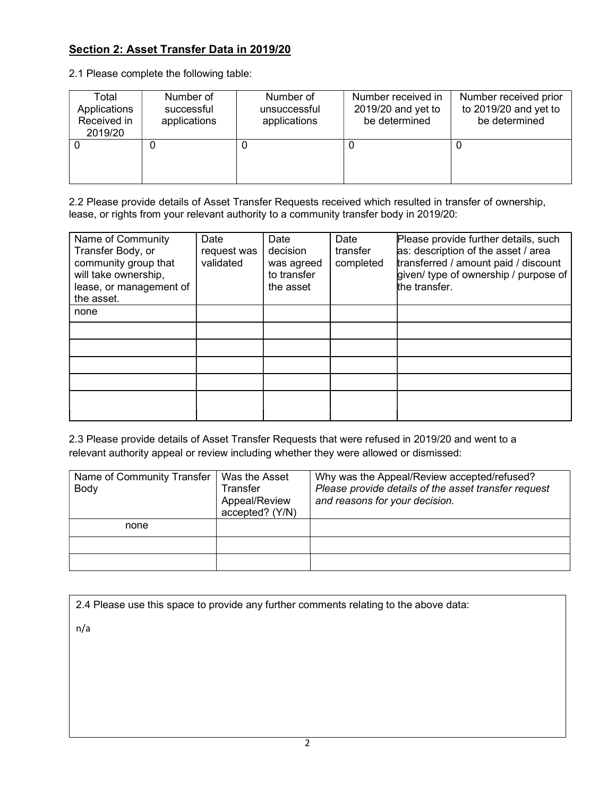# Section 2: Asset Transfer Data in 2019/20

2.1 Please complete the following table:

| Total<br>Applications<br>Received in<br>2019/20 | Number of<br>successful<br>applications | Number of<br>unsuccessful<br>applications | Number received in<br>$2019/20$ and yet to<br>be determined | Number received prior<br>to 2019/20 and yet to<br>be determined |
|-------------------------------------------------|-----------------------------------------|-------------------------------------------|-------------------------------------------------------------|-----------------------------------------------------------------|
|                                                 | 0                                       | U                                         | U                                                           |                                                                 |

2.2 Please provide details of Asset Transfer Requests received which resulted in transfer of ownership, lease, or rights from your relevant authority to a community transfer body in 2019/20:

| Name of Community<br>Transfer Body, or<br>community group that<br>will take ownership,<br>lease, or management of<br>the asset. | Date<br>request was<br>validated | Date<br>decision<br>was agreed<br>to transfer<br>the asset | Date<br>transfer<br>completed | Please provide further details, such<br>as: description of the asset / area<br>transferred / amount paid / discount<br>given/ type of ownership / purpose of<br>the transfer. |
|---------------------------------------------------------------------------------------------------------------------------------|----------------------------------|------------------------------------------------------------|-------------------------------|-------------------------------------------------------------------------------------------------------------------------------------------------------------------------------|
| none                                                                                                                            |                                  |                                                            |                               |                                                                                                                                                                               |
|                                                                                                                                 |                                  |                                                            |                               |                                                                                                                                                                               |
|                                                                                                                                 |                                  |                                                            |                               |                                                                                                                                                                               |
|                                                                                                                                 |                                  |                                                            |                               |                                                                                                                                                                               |
|                                                                                                                                 |                                  |                                                            |                               |                                                                                                                                                                               |
|                                                                                                                                 |                                  |                                                            |                               |                                                                                                                                                                               |

2.3 Please provide details of Asset Transfer Requests that were refused in 2019/20 and went to a relevant authority appeal or review including whether they were allowed or dismissed:

| Name of Community Transfer<br>Body | Was the Asset<br>Transfer<br>Appeal/Review<br>accepted? (Y/N) | Why was the Appeal/Review accepted/refused?<br>Please provide details of the asset transfer request<br>and reasons for your decision. |
|------------------------------------|---------------------------------------------------------------|---------------------------------------------------------------------------------------------------------------------------------------|
| none                               |                                                               |                                                                                                                                       |
|                                    |                                                               |                                                                                                                                       |
|                                    |                                                               |                                                                                                                                       |

| 2.4 Please use this space to provide any further comments relating to the above data: |  |  |
|---------------------------------------------------------------------------------------|--|--|

n/a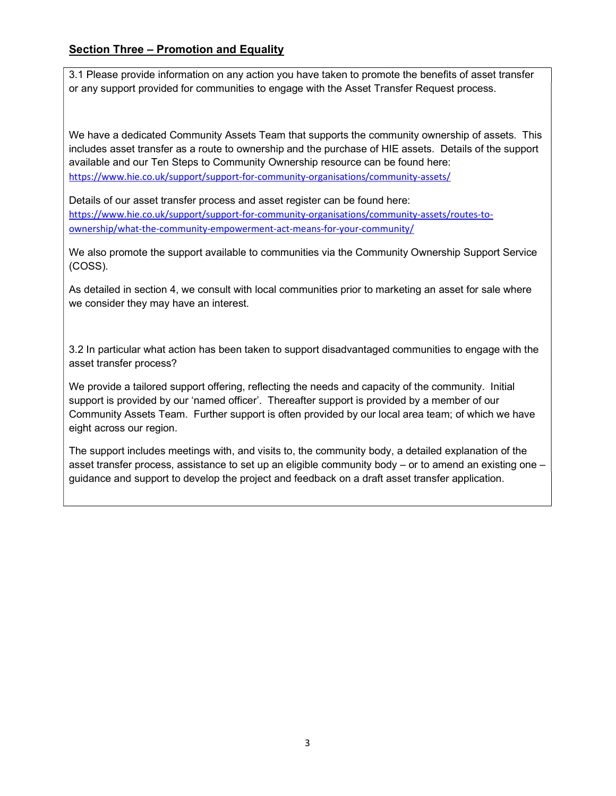## Section Three – Promotion and Equality

3.1 Please provide information on any action you have taken to promote the benefits of asset transfer or any support provided for communities to engage with the Asset Transfer Request process.

We have a dedicated Community Assets Team that supports the community ownership of assets. This includes asset transfer as a route to ownership and the purchase of HIE assets. Details of the support available and our Ten Steps to Community Ownership resource can be found here: https://www.hie.co.uk/support/support-for-community-organisations/community-assets/

Details of our asset transfer process and asset register can be found here: https://www.hie.co.uk/support/support-for-community-organisations/community-assets/routes-toownership/what-the-community-empowerment-act-means-for-your-community/

We also promote the support available to communities via the Community Ownership Support Service (COSS).

As detailed in section 4, we consult with local communities prior to marketing an asset for sale where we consider they may have an interest.

3.2 In particular what action has been taken to support disadvantaged communities to engage with the asset transfer process?

We provide a tailored support offering, reflecting the needs and capacity of the community. Initial support is provided by our 'named officer'. Thereafter support is provided by a member of our Community Assets Team. Further support is often provided by our local area team; of which we have eight across our region.

The support includes meetings with, and visits to, the community body, a detailed explanation of the asset transfer process, assistance to set up an eligible community body – or to amend an existing one – guidance and support to develop the project and feedback on a draft asset transfer application.